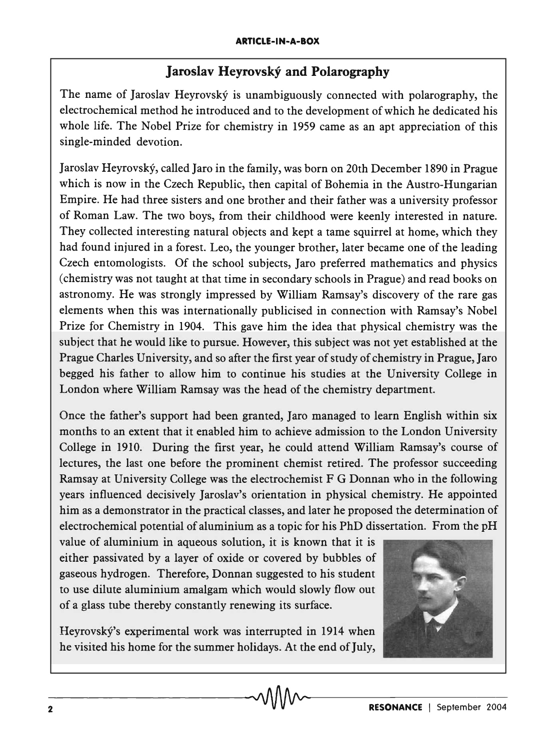## **Jaroslav Heyrovsky and Polarography**

The name of Jaroslav Heyrovský is unambiguously connected with polarography, the electrochemical method he introduced and to the development of which he dedicated his whole life. The Nobel Prize for chemistry in 1959 came as an apt appreciation of this single-minded devotion.

Jaroslav Heyrovsky, called Jaro in the family, was born on 20th December 1890 in Prague which is now in the Czech Republic, then capital of Bohemia in the Austro-Hungarian Empire. He had three sisters and one brother and their father was a university professor of Roman Law. The two boys, from their childhood were keenly interested in nature. They collected interesting natural objects and kept a tame squirrel at home, which they had found injured in a forest. Leo, the younger brother, later became one of the leading Czech entomologists. Of the school subjects, Jaro preferred mathematics and physics (chemistry was not taught at that time in secondary schools in Prague) and read books on astronomy. He was strongly impressed by William Ramsay's discovery of the rare gas elements when this was internationally publicised in connection with Ramsay's Nobel Prize for Chemistry in 1904. This gave him the idea that physical chemistry was the subject that he would like to pursue. However, this subject was not yet established at the Prague Charles University, and so after the first year of study of chemistry in Prague, Jaro begged his father to allow him to continue his studies at the University College in London where William Ramsay was the head of the chemistry department.

Once the father's support had been granted, Jaro managed to learn English within six months to an extent that it enabled him to achieve admission to the London University College in 1910. During the first year, he could attend William Ramsay's course of lectures, the last one before the prominent chemist retired. The professor succeeding Ramsay at University College was the electrochemist F G Donnan who in the following years influenced decisively Jaroslav's orientation in physical chemistry. He appointed him as a demonstrator in the practical classes, and later he proposed the determination of electrochemical potential of aluminium as a topic for his PhD dissertation. From the pH

value of aluminium in aqueous solution, it is known that it is either passivated by a layer of oxide or covered by bubbles of gaseous hydrogen. Therefore, Donnan suggested to his student to use dilute aluminium amalgam which would slowly flow out of a glass tube thereby constantly renewing its surface.

Heyrovský's experimental work was interrupted in 1914 when he visited his home for the summer holidays. At the end of July,

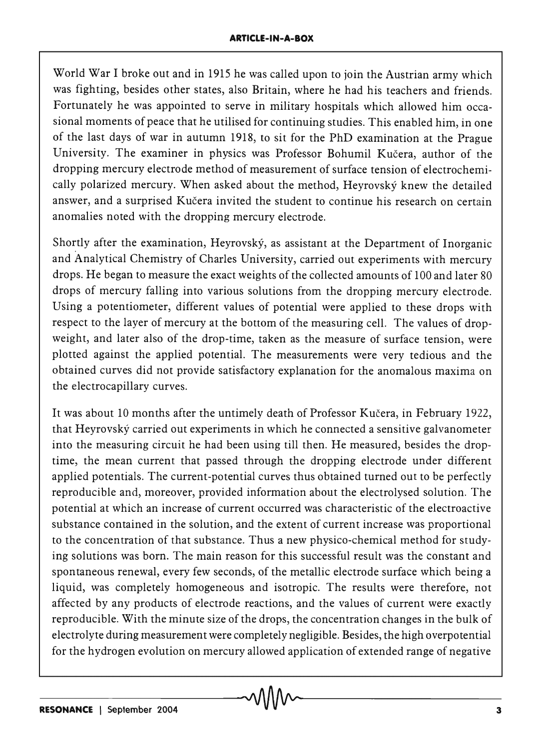World War I broke out and in 1915 he was called upon to join the Austrian army which was fighting, besides other states, also Britain, where he had his teachers and friends. Fortunately he was appointed to serve in military hospitals which allowed him occasional moments of peace that he utilised for continuing studies. This enabled him, in one of the last days of war in autumn 1918, to sit for the PhD examination at the Prague University. The examiner in physics was Professor Bohumil Kucera, author of the dropping mercury electrode method of measurement of surface tension of electrochemically polarized mercury. When asked about the method, Heyrovsky knew the detailed answer, and a surprised Kučera invited the student to continue his research on certain anomalies noted with the dropping mercury electrode.

Shortly after the examination, Heyrovsky, as assistant at the Department of Inorganic and Analytical Chemistry of Charles University, carried out experiments with mercury drops. He began to measure the exact weights of the collected amounts of 100 and later 80 drops of mercury falling into various solutions from the dropping mercury electrode. Using a potentiometer, different values of potential were applied to these drops with respect to the layer of mercury at the bottom of the measuring cell. The values of dropweight, and later also of the drop-time, taken as the measure of surface tension, were plotted against the applied potential. The measurements were very tedious and the obtained curves did not provide satisfactory explanation for the anomalous maxima on the electrocapillary curves.

It was about 10 months after the untimely death of Professor Kučera, in February 1922, that Heyrovsky carried out experiments in which he connected a sensitive galvanometer into the measuring circuit he had been using till then. He measured, besides the droptime, the mean current that passed through the dropping electrode under different applied potentials. The current-potential curves thus obtained turned out to be perfectly reproducible and, moreover, provided information about the electrolysed solution. The potential at which an increase of current occurred was characteristic of the electroactive substance contained in the solution, and the extent of current increase was proportional to the concentration of that substance. Thus a new physico-chemical method for studying solutions was born. The main reason for this successful result was the constant and spontaneous renewal, every few seconds, of the metallic electrode surface which being a liquid, was completely homogeneous and isotropic. The results were therefore, not affected by any products of electrode reactions, and the values of current were exactly reproducible. With the minute size of the drops, the concentration changes in the bulk of electrolyte during measurement were completely negligible. Besides, the high overpotential for the hydrogen evolution on mercury allowed application of extended range of negative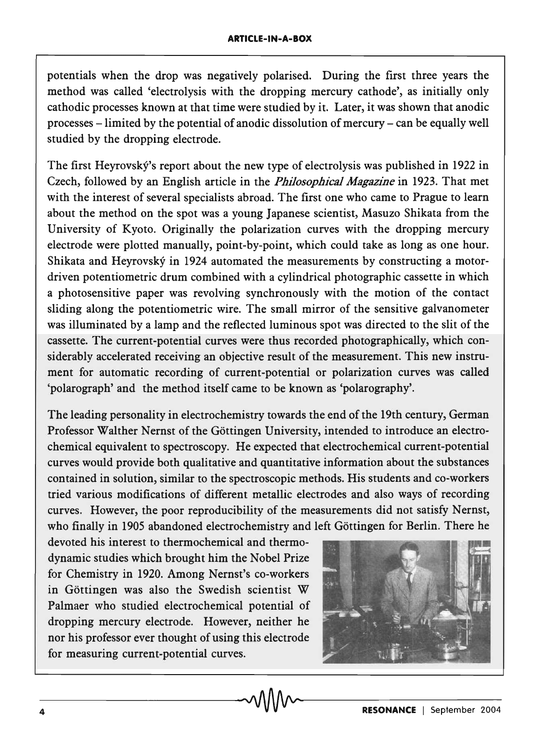potentials when the drop was negatively polarised. During the first three years the method was called 'electrolysis with the dropping mercury cathode', as initially only cathodic processes known at that time were studied by it. Later, it was shown that anodic processes -limited by the potential of anodic dissolution of mercury - can be equally well studied by the dropping electrode.

The first Heyrovský's report about the new type of electrolysis was published in 1922 in Czech, followed by an English article in the *Philosophical Magazine* in 1923. That met with the interest of several specialists abroad. The first one who came to Prague to learn about the method on the spot was a young Japanese scientist, Masuzo Shikata from the University of Kyoto. Originally the polarization curves with the dropping mercury electrode were plotted manually, point-by-point, which could take as long as one hour. Shikata and Heyrovsky in 1924 automated the measurements by constructing a motordriven potentiometric drum combined with a cylindrical photographic cassette in which a photosensitive paper was revolving synchronously with the motion of the contact sliding along the potentiometric wire. The small mirror of the sensitive galvanometer was illuminated by a lamp and the reflected luminous spot was directed to the slit of the cassette. The current-potential curves were thus recorded photographically, which considerably accelerated receiving an objective result of the measurement. This new instrument for automatic recording of current-potential or polarization curves was called 'polarograph' and the method itself came to be known as 'polarography'.

The leading personality in electrochemistry towards the end of the 19th century, German Professor Walther Nernst of the Gottingen University, intended to introduce an electrochemical equivalent to spectroscopy. He expected that electrochemical current-potential curves would provide both qualitative and quantitative information about the substances contained in solution, similar to the spectroscopic methods. His students and co-workers tried various modifications of different metallic electrodes and also ways of recording curves. However, the poor reproducibility of the measurements did not satisfy Nernst, who finally in 1905 abandoned electrochemistry and left Göttingen for Berlin. There he

devoted his interest to thermochemical and thermodynamic studies which brought him the Nobel Prize for Chemistry in 1920. Among Nernst's co-workers in Gottingen was also the Swedish scientist W Palmaer who studied electrochemical potential of dropping mercury electrode. However, neither he nor his professor ever thought of using this electrode for measuring current-potential curves.

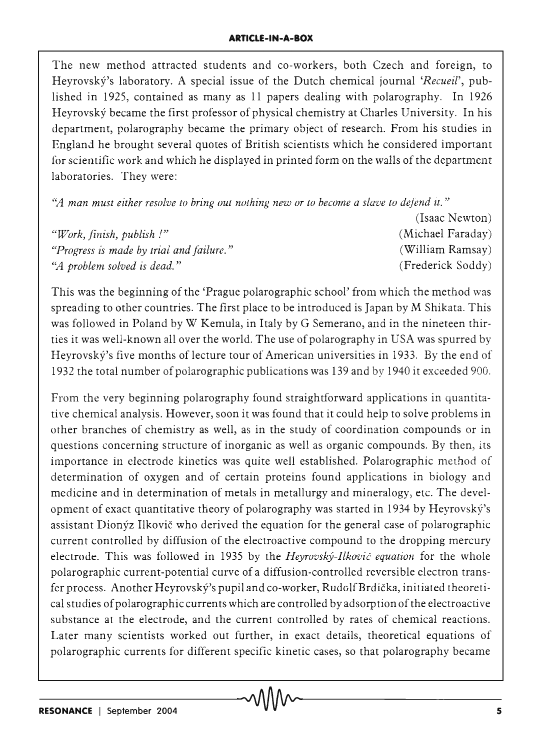The new method attracted students and co-workers, both Czech and foreign, to Heyrovský's laboratory. A special issue of the Dutch chemical journal '*Recueil*', published in 1925, contained as many as 11 papers dealing with polarography. In 1926 Heyrovsky became the first professor of physical chemistry at Charles University. In his department, polarography became the primary object of research. From his studies in England he brought several quotes of British scientists which he considered important for scientific work and which he displayed in printed form on the walls of the department laboratories. They were:

'~4 *man must either resolve to bring out nothing new or to become a slave to defend it. "* 

|                                          | (Isaac Newton)    |
|------------------------------------------|-------------------|
| "Work, finish, publish!"                 | (Michael Faraday) |
| "Progress is made by trial and failure." | (William Ramsay)  |
| "A problem solved is dead."              | (Frederick Soddy) |

This was the beginning of the 'Prague polarographic school' from which the method was spreading to other countries. The first place to be introduced is Japan by M Shikata. This was followed in Poland by W Kemula, in Italy by G Semerano, and in the nineteen thirties it was well-known all over the world. The use of polarography in USA was spurred by Heyrovský's five months of lecture tour of American universities in 1933. By the end of 1932 the total number of polarographic publications was 139 and by 1940 it exceeded 900.

From the very beginning polarography found straightforward applications in quantitative chemical analysis. However, soon it was found that it could help to solve problems in other branches of chemistry as well, as in the study of coordination compounds or in questions concerning structure of inorganic as well as organic compounds. By then, its importance in electrode kinetics was quite well established. Polarographic method of determination of oxygen and of certain proteins found applications in biology and medicine and in determination of metals in metallurgy and mineralogy, etc. The development of exact quantitative theory of polarography was started in 1934 by Heyrovský's assistant Dionyz Ilkovic who derived the equation for the general case of polarographic current controlled by diffusion of the electroactive compound to the dropping mercury electrode. This was followed in 1935 by the *Heyrovsky-Ilkovic equation* for the whole polarographic current-potential curve of a diffusion-controlled reversible electron transfer process. Another Heyrovský's pupil and co-worker, Rudolf Brdička, initiated theoretical studies of polarographic currents which are controlled by adsorption of the electroacti ve substance at the electrode, and the current controlled by rates of chemical reactions. Later many scientists worked out further, in exact details, theoretical equations of polarographic currents for different specific kinetic cases, so that polarography became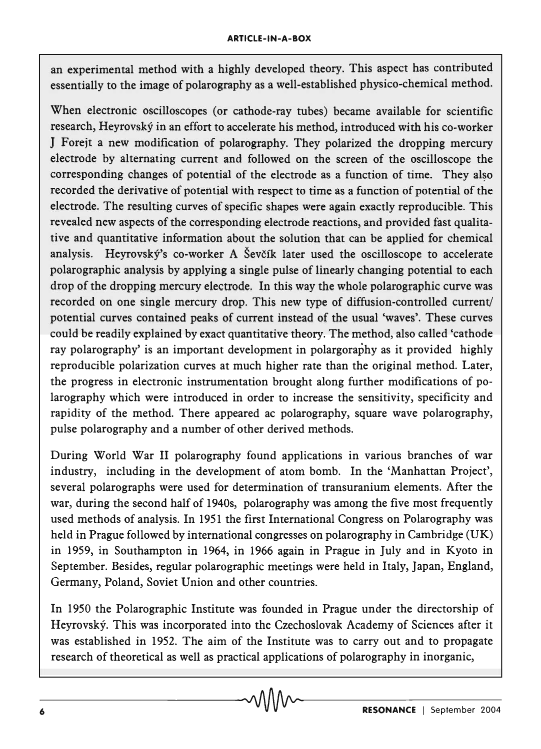an experimental method with a highly developed theory. This aspect has contributed essentially to the image of polarography as a well-established physico-chemical method.

When electronic oscilloscopes (or cathode-ray tubes) became available for scientific research, Heyrovsky in an effort to accelerate his method, introduced with his co-worker J Forejt a new modification of polarography. They polarized the dropping mercury electrode by alternating current and followed on the screen of the oscilloscope the corresponding changes of potential of the electrode as a function of time. They also recorded the derivative of potential with respect to time as a function of potential of the electrode. The resulting curves of specific shapes were again exactly reproducible. This revealed new aspects of the corresponding electrode reactions, and provided fast qualitative and quantitative information about the solution that can be applied for chemical analysis. Heyrovský's co-worker A Ševčík later used the oscilloscope to accelerate polarographic analysis by applying a single pulse of linearly changing potential to each drop of the dropping mercury electrode. In this way the whole polarographic curve was recorded on one single mercury drop. This new type of diffusion-controlled current/ potential curves contained peaks of current instead of the usual 'waves'. These curves could be readily explained by exact quantitative theory. The method, also called 'cathode ray polarography' is an important development in polargoraphy as it provided highly reproducible polarization curves at much higher rate than the original method. Later, the progress in electronic instrumentation brought along further modifications of polarography which were introduced in order to increase the sensitivity, specificity and rapidity of the method. There appeared ac polarography, square wave polarography, pulse polarography and a number of other derived methods.

During World War II polarography found applications in various branches of war industry, including in the development of atom bomb. In the 'Manhattan Project', several polarographs were used for determination of transuranium elements. After the war, during the second half of 1940s, polarography was among the five most frequently used methods of analysis. In 1951 the first International Congress on Polarography was held in Prague followed by international congresses on polarography in Cambridge (UK) in 1959, in Southampton in 1964, in 1966 again in Prague in July and in Kyoto in September. Besides, regular polarographic meetings were held in Italy, Japan, England, Germany, Poland, Soviet Union and other countries.

In 1950 the Polarographic Institute was founded in Prague under the directorship of Heyrovský. This was incorporated into the Czechoslovak Academy of Sciences after it was established in 1952. The aim of the Institute was to carry out and to propagate research of theoretical as well as practical applications of polarography in inorganic,